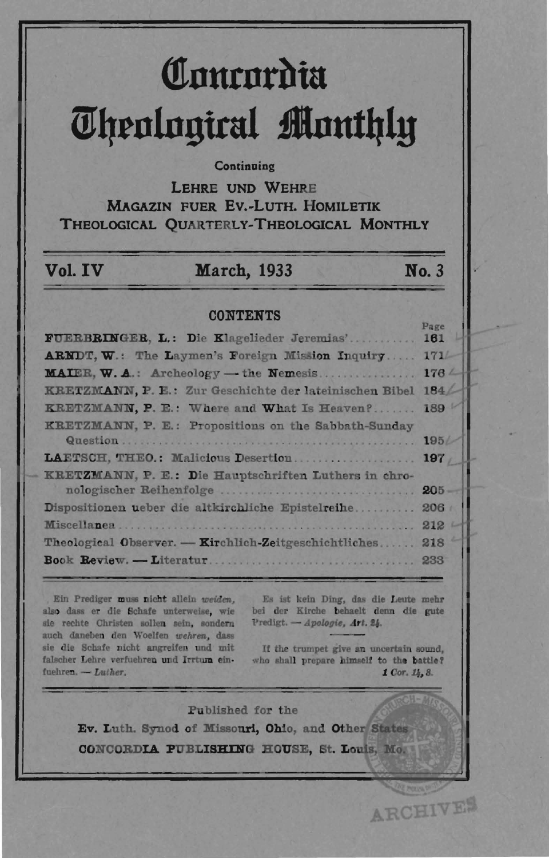# **Concordia** *<u>Uhenlouiral Monthly</u>*

#### **Continuing**

LEHRE UND WEHRE MAGAZIN FUER Ev.-LuTH. HOMILETIK THEOLOGICAL QUARTERLY-THEOLOGICAL MONTHLY

## Vol. **IV** March, 1933 No.3

[

l I

#### **CONTENTS**

| FUERBRINGER, L.: Die Klagelieder Jeremias' 161          | Page             |
|---------------------------------------------------------|------------------|
| ARNDT, W.: The Laymen's Foreign Mission Inquiry 171/-   |                  |
|                                                         | 176 <sub>4</sub> |
| KRETZMANN, P. E.: Zur Geschichte der lateinischen Bibel | 184 <sub>4</sub> |
| KRETZMANN, P. E.: Where and What Is Heaven?             | 189              |
| KRETZMANN, P. E.: Propositions on the Sabbath-Sunday    |                  |
|                                                         |                  |
| LAETSCH, THEO.: Malicious Desertion 197                 |                  |
| KRETZMANN, P. E.: Die Hauptschriften Luthers in chro-   |                  |
| nologischer Reihenfolge                                 | $205 -$          |
| Dispositionen ueber die altkirchliche Epistelreihe      | $206 +$          |
|                                                         | 212 <sup>1</sup> |
| Theological Observer. - Kirchlich-Zeitgeschichtliches   | 218              |
|                                                         | 233              |
|                                                         |                  |

Ein Prediger muss nicht allein weiden, also dass er die Schafe unterweise, wie sie rechte Christen sollen sein, sondern auch daneben den Woelfen wehren, dass sie die Schafe nicht angreifen und mit falscher Lehre verfuehren und Irrtum einfuehren. - Luther,

Es ist kein Ding, das die Leute mehr bei der Kirche behaelt denn die gute l'redigt. - Apologie, Art. 24.

If the trumpet give an uncertain sound, who shall prepare himself to the battle? 1 Cor. 14, 8.

ARCHIVES

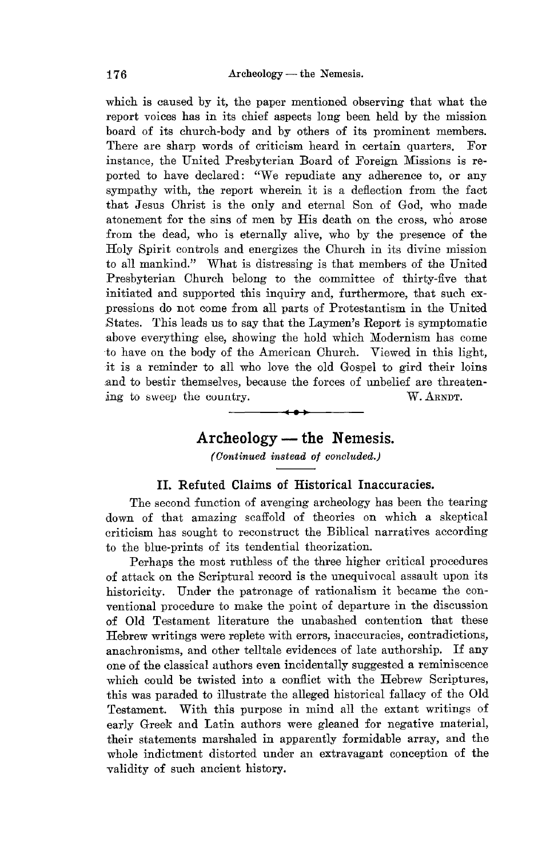which is caused by it, the paper mentioned observing that what the report voices has in its chief aspects long been held by the mission board of its church-body and by others of its prominent members. There are sharp words of criticism heard in certain quarters. For instance, the United Presbyterian Board of Foreign Missions is reported to have declared: "We repudiate any adherence to, or any sympathy with, the report wherein it is a deflection from the fact that Jesus Ohrist is the only and eternal Son of God, who made atonement for the sins of men by His death on the cross, who arose from the dead, who is eternally alive, who by the presence of the Holy Spirit controls and energizes the Ohurch in its divine mission to all mankind." What is distressing is that members of the United Presbyterian Ohurch belong to the committee of thirty-five that initiated and supported this inquiry and, furthermore, that such expressions do not come from all parts of Protestantism in the United States. This leads us to say that the Laymen's Report is symptomatic above everything else, showing the hold which Modernism has come to have on the body of the American Ohurch. Viewed in this light, it is a reminder to all who love the old Gospel to gird their loins and to bestir themselves, because the forces of unbelief are threaten- $\sum_{i=1}^{\infty}$  to sweep the country. W. ARNDT.

# $\bm{\dashrightarrow}$ **Archeology - the Nemesis.**

*(Oontinued instead of concluded.)* 

#### **II. Refuted Claims of Historical Inaccuracies.**

The second function of avenging archeology has been the tearing down of that amazing scaffold of theories on which a skeptical criticism has sought to reconstruct the Biblical narratives according to the blue-prints of its tendential theorization.

Perhaps the most ruthless of the three higher critical procedures of attack on the Scriptural record is the unequivocal assault upon its historicity. Under the patronage of rationalism it became the conventional procedure to make the point of departure in the discussion of Old Testament literature the unabashed contention that these Hebrew writings were replete with errors, inaccuracies, contradictions, anachronisms, and other telltale evidences of late authorship. If any one of the classical authors even incidentally suggested a reminiscence which could be twisted into a conflict with the Hebrew Scriptures, this was paraded to illustrate the alleged historical fallacy of the Old Testament. With this purpose in mind all the extant writings of early Greek and Latin authors were gleaned for negative material, their statements marshaled in apparently formidable array, and the whole indictment distorted under an extravagant conception of the validity of such ancient history.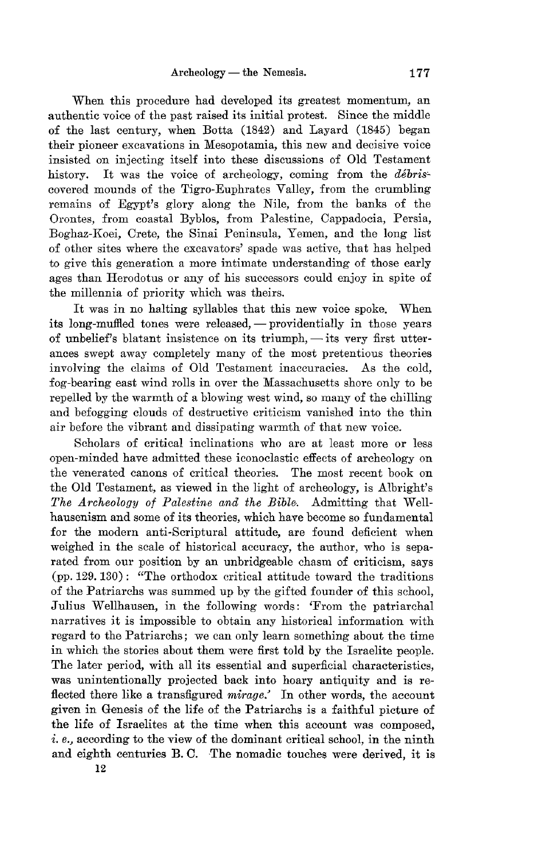When this procedure had developed its greatest momentum, an authentic voice of the past raised its initial protest. Since the middle of the last century, when Botta (1842) and Layard (1845) began their pioneer excavations in Mesopotamia, this new and decisive voice insisted on injecting itself into these discussions of Old Testament history. It was the voice of archeology, coming from the débriscovered mounds of the Tigro-Euphrates Valley, from the crumbling remains of Egypt's glory along the Nile, from the banks of the Orontes, from coastal Byblos, from Palestine, Oappadocia, Persia, Boghaz-Koei, Orete, the Sinai Peninsula, Yemen, and the long list of other sites where the excavators' spade was active, that has helped to give this generation a more intimate understanding of those early ages than Herodotus or any of his successors could enjoy in spite of the millennia of priority which was theirs.

It was in no halting syllables that this new voice spoke. When its long-muffled tones were released, — providentially in those years of unbelief's blatant insistence on its triumph,  $-$  its very first utterances swept away completely many of the most pretentious theories involving the claims of Old Testament inaccuracies. As the cold, fog-bearing east wind rolls in over the Massachusetts shore only to be repelled by the warmth of a blowing west wind, so many of the chilling and befogging clouds of destructive criticism vanished into the thin air before the vibrant and dissipating warmth of that new voice.

Scholars of critical inclinations who are at least more or less open-minded have admitted these iconoclastic effects of archeology on the venerated canons of critical theories. The most recent book on the Old Testament, as viewed in the light of archeology, is Albright's *The Archeology of Palestine and the Bible.* Admitting that Wellhausenism and some of its theories, which have become so fundamental for the modern anti-Scriptural attitude, are found deficient when weighed in the scale of historical accuracy, the author, who is separated from our position by an unbridgeable chasm of criticism, says (pp. 129. 130): "The orthodox critical attitude toward the traditions of the Patriarchs was summed up by the gifted founder of this school, Julius Wellhausen, in the following words: 'From the patriarchal narratives it is impossible to obtain any historical information with regard to the Patriarchs; we can only learn something about the time in which the stories about them were first told by the Israelite people. The later period, with all its essential and superficial characteristics, was unintentionally projected back into hoary antiquity and is reflected there like a transfigured *mirage:* In other words, the account given in Genesis of the life of the Patriarchs is a faithful picture of the life of Israelites at the time when this account was composed, i. *e.,* according to the view of the dominant critical school, in the ninth and eighth centuries B. C. The nomadic touches were derived, it is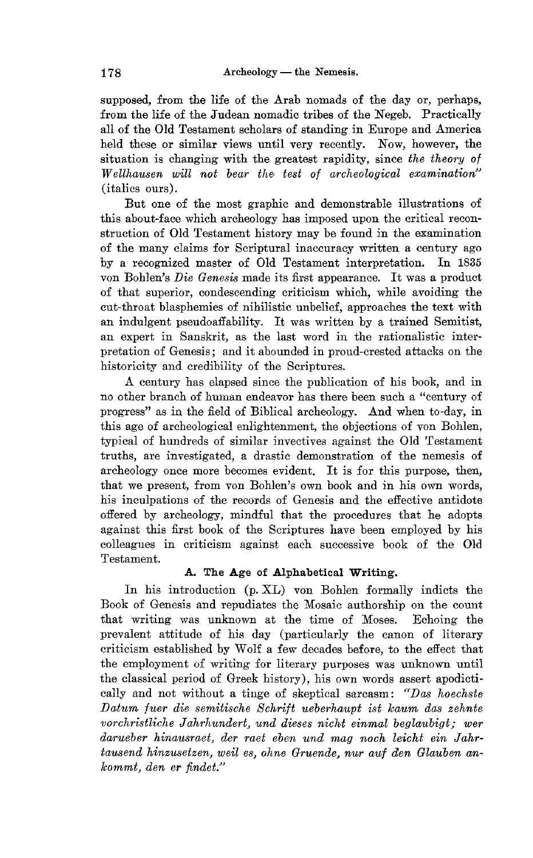supposed, from the life of the Arab nomads of the day or, perhaps, from the life of the Judean nomadic tribes of the Negeb. Practically all of the Old Testament scholars of standing in Europe and America held these or similar views until very recently. Now, however, the situation is changing with the greatest rapidity, since *the theory of WeZlhausen will not bear the test of archeological examination"*  (italics ours).

But one of the most graphic and demonstrable illustrations of this about-face which archeology has imposed upon the critical reconstruction of Old Testament history may be found in the examination of the many claims for Scriptural inaccuracy written a century ago by a recognized master of Old Testament interpretation. In 1835 von Bohlen's *Die Genesis* made its first appearance. It was a product of that superior, condescending criticism which, while avoiding the cut-throat blasphemies of nihilistic unbelief, approaches the text with an indulgent pseudoaffability. It was written by a trained Semitist, an expert in Sanskrit, as the last word in the rationalistic interpretation of Genesis; and it abounded in proud-crested attacks on the historicity and credibility of the Scriptures.

A century has elapsed since the publication of his book, and in no other branch of human endeavor has there been such a "century of progress" as in the field of Biblical archeology. And when to-day, in this age of archeological enlightenment, the objections of von Bohlen, typical of hundreds of similar invectives against the Old Testament truths, are investigated, a drastic demonstration of the nemesis of archeology once more becomes evident. It is for this purpose, then, that we present, from von Bohlen's own book and in his own words, his inculpations of the records of Genesis and the effective antidote offered by archeology, mindful that the procedures that he adopts against this first book of the Scriptures have been employed by his colleagues in criticism against each successive book of the Old Testament.

### A. The Age of Alphabetical Writing.

In his introduction (p. XL) von Bohlen formally indicts the Book of Genesis and repudiates the Mosaic authorship on the count that writing was unknown at the time of Moses. Echoing the prevalent attitude of his day (particularly the canon of literary criticism established by Wolf a few decades before, to the effect that the employment of writing for literary purposes was unknown until the classical period of Greek history), his own words assert apodictically and not without a tinge of skeptical sarcasm: *"Das hoechste Datum fuer die semitische Schrift ueberhaupt ist kaum das zehnte vorchristliche Jahrhundert, und dieses nicht einmal beglaubigt; wer darueber hinausraet, der raet eben und mag noch leicht ein Jahrtaus end hinzusetzen, weil es, ohne Gruende, nur auf den Glauben ankommt> den er findet. <sup>n</sup>*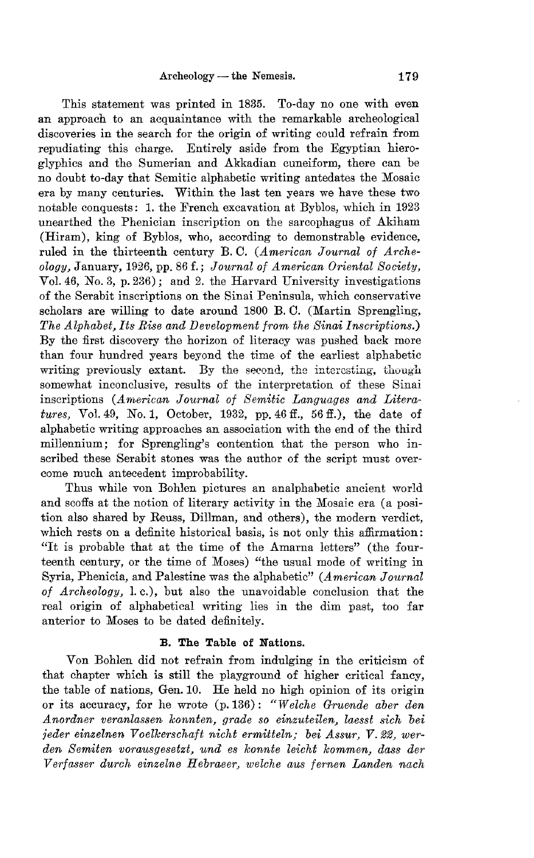This statement was printed in 1835. To-day no one with even an approach to an acquaintance with the remarkable archeological discoveries in the search for the origin of writing could refrain from repudiating this charge. Entirely aside from the Egyptian hieroglyphics and the Sumerian and Akkadian cuneiform, there can be no doubt to-day that Semitic alphabetic writing antedates the Mosaic era by many centuries. Within the last ten years we have these two notable conquests: 1. the French excavation at Byblos, which in 1923 unearthed the Phenician inscription on the sarcophagus of Akiham (Hiram), king of Byblos, who, according to demonstrable evidence, ruled in the thirteenth century B. O. *(American Journal of Archeology,* January, 1926, pp. 86 f.; *Journal of American Oriental Society,*  Vol. 46, No.3, p. 236); and 2. the Harvard University investigations of the Serabit inscriptions on the Sinai Peninsula, which conservative scholars are willing to date around 1800 B. O. (Martin Sprengling, *The Alphabet, Its Rise and Development from the Sinai Inscriptions.)*  By the first discovery the horizon of literacy was pushed back more than four hundred years beyond the time of the earliest alphabetic writing previously extant. By the second, the interesting, though somewhat inconclusive, results of the interpretation of these Sinai inscriptions (American Journal of Semitic Languages and Litera*tures,* VoL 49, *No.1,* October, 1932, pp. 46 ff., 56 ff.), the date of alphabetic writing approaches an association with the end of the third millennium; for Sprengling's contention that the person who inscribed these Serabit stones was the author of the script must overcome much antecedent improbability.

Thus while von Bohlen pictures an analphabetic ancient world and scoffs at the notion of literary activity in the Mosaic era (a position also shared by Reuss, Dillman, and others), the modern verdict, which rests on a definite historical basis, is not only this affirmation: "It is probable that at the time of the Amarna letters" (the fourteenth century, or the time of Moses) "the usual mode of writing in Syria, Phenicia, and Palestine was the alphabetic" *(American Journal of Archeology,* 1. c.), but also the unavoidable conclusion that the real origin of alphabetical writing lies in the dim past, too far anterior to Moses to be dated definitely.

#### B. The Table of Nations.

Von Bohlen did not refrain from indulging in the criticism of that chapter which is still the playground of higher critical fancy, the table of nations, Gen. 10. He held no high opinion of its origin or its accuracy, for he wrote (p. 136): *"Welche Gruende aber den A nordner veranlassen konnten, grade so einzuteilen, laesst sich bei jeder einzelnen Voellcerschaft nicht ermitteln* " *bei Assur, V.* 22, *werden Semiten vorausgesetzt, und 6S konnte leicht kommen, dass der Verfasser durch einzelne Hebraeer, welche aus fernen Landen nach*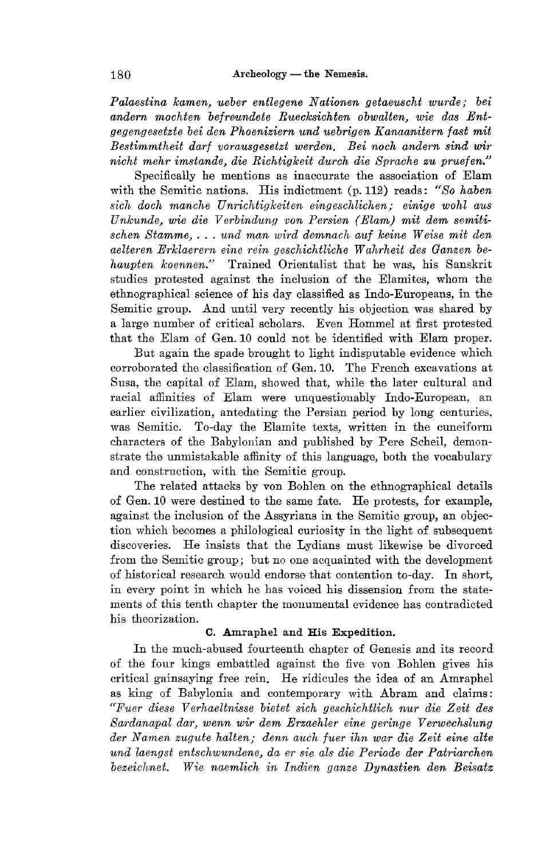*Palaestina kamen, ueber entlegene Nationen getaeuscht wurde,' bei andern mochten befreundete Ruecksichten obwalten, wie das Entgegengesetzte bei den Phoeniziern und uebrigen Kanaanitern fast mit Bestimmtheit dart vorausgesetzt werden. Bei noch and ern sind wir nic7d mehr imstande, die Richtigkeit durch die Bpraehe zu pruefen."* 

Specifically he mentions as inaccurate the association of Elam with the Semitic nations. His indictment (p. 112) reads: "So haben  $sich$  doch manche Unrichtigkeiten eingeschlichen; einige wohl aus *Unkunde*, wie die Verbindung von Persien (Elam) mit dem semiti $schen Stamme...$  *und man wird demnach auf keine Weise mit den aelteren Erklaerern eine rein geschichtliche Wahrheit des Ganzen behaupten koennen."* Trained Orientalist that he was, his Sanskrit studies protested against the inclusion of the Elamites, whom the ethnographical science of his day classified as Indo-Europeans, in the Semitic group. And until very recently his objection was shared by a large number of critical scholars. Even Hommel at first protested that the Elam of Gen. 10 could not be identified with Elam proper.

But again the spade brought to light indisputable evidence which corroborated the classification of Gen. 10. The French excavations at Susa, the capital of Elam, showed that, while the later cultural and racial affinities of Elam were unquestionably Indo-European, an earlier civilization, antedating the Persian period by long centuries, was Semitic. To-day the Elamite texts, written in the cuneiform characters of the Babylonian and published by Pere Scheil, demonstrate the unmistakable affinity of this language, both the vocabulary and construction, with the Semitic group.

The related attacks by von Bohlen on the ethnographical details of Gen. 10 were destined to the same fate. He protests, for example, against the inclusion of the Assyrians in the Semitic group, an objection which becomes a philological curiosity in the light of subsequent discoveries. He insists that the Lydians must likewise be divorced from the Semitic group; but no one acquainted with the development of historical research would endorse that contention to-day. In short, in every point in which he has voiced his dissension from the statements of this tenth chapter the monumental evidence has contradicted his theorization.

#### C. Amraphel and His Expedition.

In the much-abused fourteenth chapter of Genesis and its record of the four kings embattled against the five von Bohlen gives his critical gainsaying free rein. He ridicules the idea of an Amraphel as king of Babylonia and contemporary with Abram and claims: *"Fuel' diese Verhaeltnisse bietet sich geschiehtlich nul' die Zeit des Sardanapal dar, wenn wir dem Erzaehler eine geringe Verwechslung* der Namen zugute halten; denn auch fuer ihn war die Zeit eine alte  $u$ nd laengst entschwundene. da er sie als die Periode der Patriarchen *bezeichnet. Wie naemlich in Indien ganze Dynastien den Beisatz*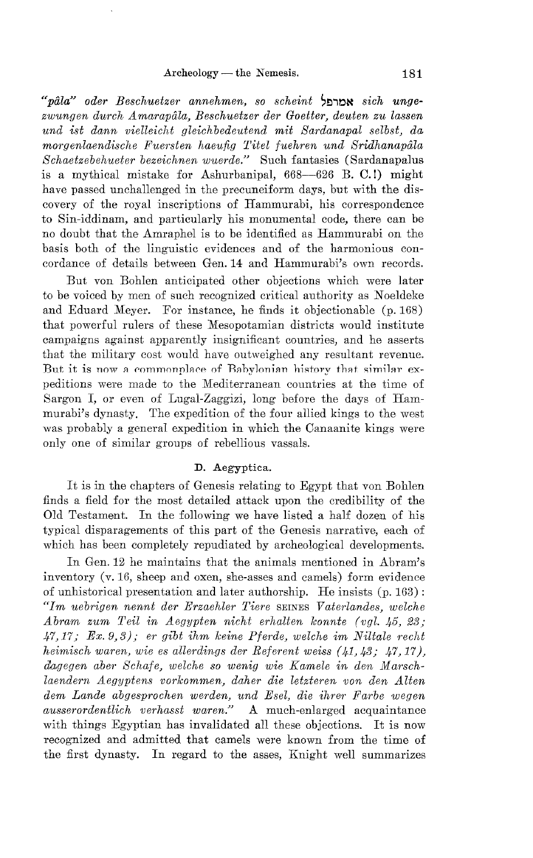*"pala" oder Beschuetzer annehmen, so scheint* ~~,~~ *sich unge*zwungen durch Amarapâla, Beschuetzer der Goetter, deuten zu lassen *und ist dann vielleicht gleichbedeutend mit Sardanapal selbst, da morgenlaendisehe Fuersten haeufig Titel fuehren und Sridhanapala Schaetzebehueter bezeiehnen wuerde."* Such fantasies (Sardanapalus is a mythical mistake for Ashurbanipal, 668-626 B. C.!) might have passed unchallenged in the precuneiform days, but with the discovery of the royal inscriptions of Hammurabi, his correspondence to Sin-iddinam, and particularly his monumental code, there can be no doubt that the Amraphel is to be identified as Hammurabi on the basis both of the linguistic evidences and of the harmonious concordance of details between Gen. 14 and Hammurabi's own records.

But von Bohlen anticipated other objections which were later to be voiced by men of such recognized critical authority as Noeldeke and Eduard Meyer. For instance, he finds it objectionable (p. 168) that powerful rulers of these Mesopotamian districts would institute campaigns against apparently insignificant countries, and he asserts that the military cost would have outweighed any resultant revenue. But it is now a commonplace of Babylonian history that similar expeditions were made to the Mediterranean countries at the time of Sargon I, or even of Lugal-Zaggizi, long before the days of Hammurabi's dynasty. The expedition of the four allied kings to the west was probably a general expedition in which the Oanaanite kings were only one of similar groups of rebellious vassals.

#### D. Aegyptica.

It is in the chapters of Genesis relating to Egypt that von Bohlen finds a field for the most detailed attack upon the credibility of the Old Testament. In the following we have listed a half dozen of his typical disparagements of this part of the Genesis narrative, each of which has been completely repudiated by archeological developments.

In Gen. 12 he maintains that the animals mentioned in Abram's inventory (v. 16, sheep and oxen, she-asses and camels) form evidence of unhistorical presentation and later authorship. He insists (p. 163) : *"1m uebrigen nennt der Erzaehler Tiere* SEINES *Vaterlandes, welche Abram zum Teil in Aegypten nicht erhalten konnte (vgl. 45, 23; 47,17; Ex.* 9,3); *er gibt ihm keine Pferde, welehe im Niltale recht heimisch waren, wie es allerdings der Referent weiss* (41,43; 47,17), dagegen aber Schafe, welche so wenig wie Kamele in den Marsch*laendern Aegyptens vorkommen, daher die letzteren von den Alten dem Lande abgesproehen werden, und Esel, die ihrer Farbe wegen ausserordentlich verhasst waren."* A much-enlarged acquaintance with things Egyptian has invalidated all these objections. It is now recognized and admitted that camels were known from the time of the first dynasty. In regard to the asses, Knight well summarizes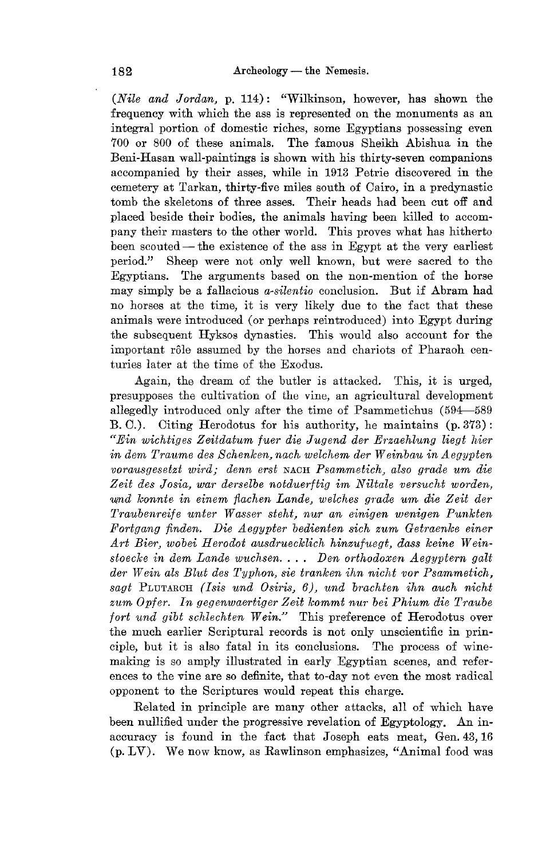*(Nile and Jordan,* p. 114): "Wilkinson, however, has shown the frequency with which the ass is represented on the monuments as an integral portion of domestic riches, some Egyptians possessing even 700 or 800 of these animals. The famous Sheikh Abishua in the Beni-Hasan wall-paintings is shown with his thirty-seven companions accompanied by their asses, while in 1913 Petrie discovered in the cemetery at Tarkan, thirty-five miles south of Oairo, in a predynastic tomb the skeletons of three asses. Their heads had been cut off and placed beside their bodies, the animals having been killed to accompany their masters to the other world. This proves what has hitherto been scouted — the existence of the ass in Egypt at the very earliest period." Sheep were not only well known, but were sacred to the Egyptians. The arguments based on the non-mention of the horse may simply be a fallacious *a-silentio* conclusion. But if Abram had no horses at the time, it is very likely due to the fact that these animals were introduced (or perhaps reintroduced) into Egypt during the subsequent Hyksos dynasties. This would also account for the important rôle assumed by the horses and chariots of Pharaoh centuries later at the time of the Exodus.

Again, the dream of the butler is attacked. This, it is urged, presupposes the cultivation of the vine, an agricultural development allegedly introduced only after the time of Psammetichus (594--589 B.O.). Oiting Herodotus for his authority, he maintains (p. 373) : *"Ein wichtiges Zeitdatum fuer die Jugend der Erzaehlung liegt hier in dem* Tra1~me *des Schenken, nach welchem der Weinbau in Aegypten vorausgesetzt wird,' denn erst* NACH *Psammetich, also grade um die*  Zeit des Josia, war derselbe notduerftig im Niltale versucht worden, urnd *loonnte in einem fiachen Lande, welches grade um die Zeit der Traubenreife unter Wasser steht, nur an einigen wenigen Punkten Fortgang finden. Die Aegypter bedienlen sieh zum Getraenke einer Art Bieer, wobei Herodot ausdruecklich hinzufuegt, dass keine Weinstoecke in dem Lande wuchsen....* Den orthodoxen Aegyptern galt der Wein als Blut des Typhon, sie tranken ihn nicht vor Psammetich, sagt PLUTARCH *(Isis und Osiris, 6)*, *und brachten ihn auch nicht zum Opfer. In gegenwaeertiger Zeit kommt nur bei Phium die Traube fort und gibt schlechten Wein."* This preference of Herodotus over the much earlier Scriptural records is not only unscientific in principle, but it is also fatal in its conclusions. The process of winemaking is so amply illustrated in early Egyptian scenes, and references to the vine are so definite, that to-day not even the most radical opponent to the Scriptures would repeat this charge.

Related in principle are many other attacks, all of which have been nullified under the progressive revelation of Egyptology. An inaccuracy is found in the fact that Joseph eats meat, Gen. 43, 16 (p. LV). We now know, as Rawlinson emphasizes, "Animal food was